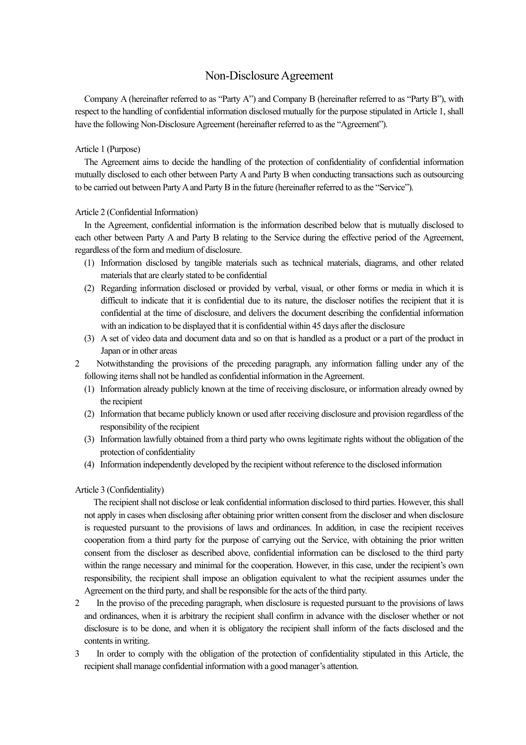# Non-Disclosure Agreement

Company A (hereinafter referred to as "Party A") and Company B (hereinafter referred to as "Party B"), with respect to the handling of confidential information disclosed mutually for the purpose stipulated in Article 1, shall have the following Non-Disclosure Agreement (hereinafter referred to as the "Agreement").

### Article 1 (Purpose)

The Agreement aims to decide the handling of the protection of confidentiality of confidential information mutually disclosed to each other between Party A and Party B when conducting transactions such as outsourcing to be carried out between Party A and Party B in the future (hereinafter referred to as the "Service").

#### Article 2 (Confidential Information)

In the Agreement, confidential information is the information described below that is mutually disclosed to each other between Party A and Party B relating to the Service during the effective period of the Agreement, regardless of the form and medium of disclosure.

- (1) Information disclosed by tangible materials such as technical materials, diagrams, and other related materials that are clearly stated to be confidential
- (2) Regarding information disclosed or provided by verbal, visual, or other forms or media in which it is difficult to indicate that it is confidential due to its nature, the discloser notifies the recipient that it is confidential at the time of disclosure, and delivers the document describing the confidential information with an indication to be displayed that it is confidential within 45 days after the disclosure
- (3) A set of video data and document data and so on that is handled as a product or a part of the product in Japan or in other areas
- 2 Notwithstanding the provisions of the preceding paragraph, any information falling under any of the following items shall not be handled as confidential information in the Agreement.
	- (1) Information already publicly known at the time of receiving disclosure, or information already owned by the recipient
	- (2) Information that became publicly known or used after receiving disclosure and provision regardless of the responsibility of the recipient
	- (3) Information lawfully obtained from a third party who owns legitimate rights without the obligation of the protection of confidentiality
	- (4) Information independently developed by the recipient without reference to the disclosed information

#### Article 3 (Confidentiality)

The recipient shall not disclose or leak confidential information disclosed to third parties. However, this shall not apply in cases when disclosing after obtaining prior written consent from the discloser and when disclosure is requested pursuant to the provisions of laws and ordinances. In addition, in case the recipient receives cooperation from a third party for the purpose of carrying out the Service, with obtaining the prior written consent from the discloser as described above, confidential information can be disclosed to the third party within the range necessary and minimal for the cooperation. However, in this case, under the recipient's own responsibility, the recipient shall impose an obligation equivalent to what the recipient assumes under the Agreement on the third party, and shall be responsible for the acts of the third party.

- 2 In the proviso of the preceding paragraph, when disclosure is requested pursuant to the provisions of laws and ordinances, when it is arbitrary the recipient shall confirm in advance with the discloser whether or not disclosure is to be done, and when it is obligatory the recipient shall inform of the facts disclosed and the contents in writing.
- 3 In order to comply with the obligation of the protection of confidentiality stipulated in this Article, the recipient shall manage confidential information with a good manager's attention.